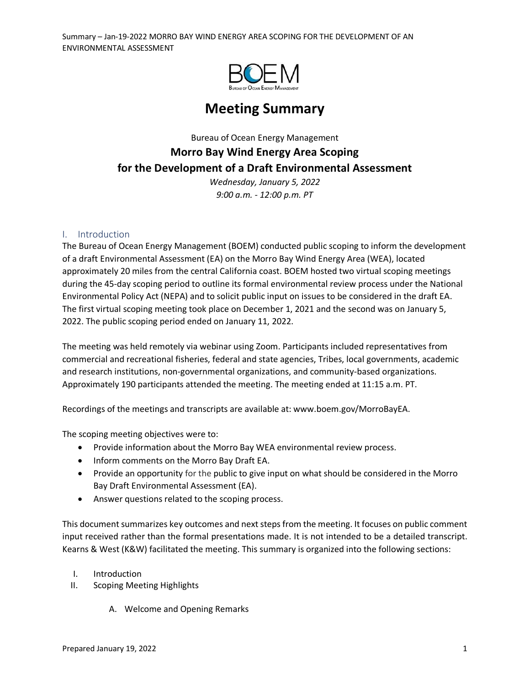

# **Meeting Summary**

# Bureau of Ocean Energy Management **Morro Bay Wind Energy Area Scoping for the Development of a Draft Environmental Assessment**

*Wednesday, January 5, 2022 9:00 a.m. - 12:00 p.m. PT* 

#### I. Introduction

The Bureau of Ocean Energy Management (BOEM) conducted public scoping to inform the development of a draft Environmental Assessment (EA) on the Morro Bay Wind Energy Area (WEA), located approximately 20 miles from the central California coast. BOEM hosted two virtual scoping meetings during the 45-day scoping period to outline its formal environmental review process under the National Environmental Policy Act (NEPA) and to solicit public input on issues to be considered in the draft EA. The first virtual scoping meeting took place on December 1, 2021 and the second was on January 5, 2022. The public scoping period ended on January 11, 2022.

The meeting was held remotely via webinar using Zoom. Participants included representatives from commercial and recreational fisheries, federal and state agencies, Tribes, local governments, academic and research institutions, non-governmental organizations, and community-based organizations. Approximately 190 participants attended the meeting. The meeting ended at 11:15 a.m. PT.

Recordings of the meetings and transcripts are available at: [www.boem.gov/MorroBayEA.](http://www.boem.gov/MorroBayEA) 

The scoping meeting objectives were to:

- Provide information about the Morro Bay WEA environmental review process.
- Inform comments on the Morro Bay Draft EA.
- Provide an opportunity for the public to give input on what should be considered in the Morro Bay Draft Environmental Assessment (EA).
- Answer questions related to the scoping process.

This document summarizes key outcomes and next steps from the meeting. It focuses on public comment input received rather than the formal presentations made. It is not intended to be a detailed transcript. Kearns & West (K&W) facilitated the meeting. This summary is organized into the following sections:

- I. Introduction
- II. Scoping Meeting Highlights
	- A. Welcome and Opening Remarks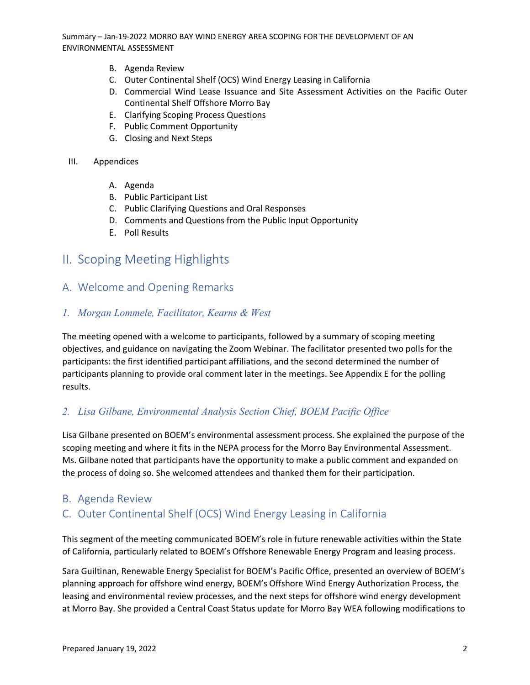- B. Agenda Review
- C. Outer Continental Shelf (OCS) Wind Energy Leasing in California
- D. Commercial Wind Lease Issuance and Site Assessment Activities on the Pacific Outer Continental Shelf Offshore Morro Bay
- E. Clarifying Scoping Process Questions
- F. Public Comment Opportunity
- G. Closing and Next Steps

#### III. Appendices

- A. Agenda
- B. Public Participant List
- C. Public Clarifying Questions and Oral Responses
- D. Comments and Questions from the Public Input Opportunity
- E. Poll Results

## II. Scoping Meeting Highlights

A. Welcome and Opening Remarks

### *1. Morgan Lommele, Facilitator, Kearns & West*

The meeting opened with a welcome to participants, followed by a summary of scoping meeting objectives, and guidance on navigating the Zoom Webinar. The facilitator presented two polls for the participants: the first identified participant affiliations, and the second determined the number of participants planning to provide oral comment later in the meetings. See Appendix E for the polling results.

### *2. Lisa Gilbane, Environmental Analysis Section Chief, BOEM Pacific Office*

Lisa Gilbane presented on BOEM's environmental assessment process. She explained the purpose of the scoping meeting and where it fits in the NEPA process for the Morro Bay Environmental Assessment. Ms. Gilbane noted that participants have the opportunity to make a public comment and expanded on the process of doing so. She welcomed attendees and thanked them for their participation.

### B. Agenda Review

### C. Outer Continental Shelf (OCS) Wind Energy Leasing in California

This segment of the meeting communicated BOEM's role in future renewable activities within the State of California, particularly related to BOEM's Offshore Renewable Energy Program and leasing process.

Sara Guiltinan, Renewable Energy Specialist for BOEM's Pacific Office, presented an overview of BOEM's planning approach for offshore wind energy, BOEM's Offshore Wind Energy Authorization Process, the leasing and environmental review processes, and the next steps for offshore wind energy development at Morro Bay. She provided a Central Coast Status update for Morro Bay WEA following modifications to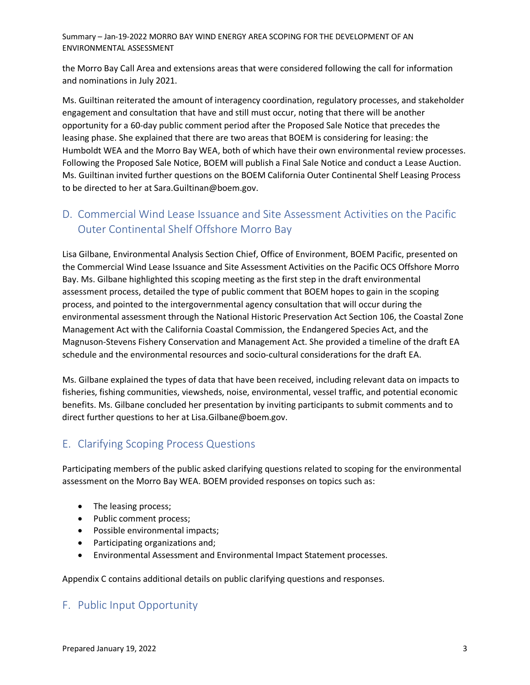the Morro Bay Call Area and extensions areas that were considered following the call for information and nominations in July 2021.

Ms. Guiltinan reiterated the amount of interagency coordination, regulatory processes, and stakeholder engagement and consultation that have and still must occur, noting that there will be another opportunity for a 60-day public comment period after the Proposed Sale Notice that precedes the leasing phase. She explained that there are two areas that BOEM is considering for leasing: the Humboldt WEA and the Morro Bay WEA, both of which have their own environmental review processes. Following the Proposed Sale Notice, BOEM will publish a Final Sale Notice and conduct a Lease Auction. Ms. Guiltinan invited further questions on the BOEM California Outer Continental Shelf Leasing Process to be directed to her at [Sara.Guiltinan@boem.gov.](mailto:Sara.Guiltinan@boem.gov)

# D. Commercial Wind Lease Issuance and Site Assessment Activities on the Pacific Outer Continental Shelf Offshore Morro Bay

Lisa Gilbane, Environmental Analysis Section Chief, Office of Environment, BOEM Pacific, presented on the Commercial Wind Lease Issuance and Site Assessment Activities on the Pacific OCS Offshore Morro Bay. Ms. Gilbane highlighted this scoping meeting as the first step in the draft environmental assessment process, detailed the type of public comment that BOEM hopes to gain in the scoping process, and pointed to the intergovernmental agency consultation that will occur during the environmental assessment through the National Historic Preservation Act Section 106, the Coastal Zone Management Act with the California Coastal Commission, the Endangered Species Act, and the Magnuson-Stevens Fishery Conservation and Management Act. She provided a timeline of the draft EA schedule and the environmental resources and socio-cultural considerations for the draft EA.

Ms. Gilbane explained the types of data that have been received, including relevant data on impacts to fisheries, fishing communities, viewsheds, noise, environmental, vessel traffic, and potential economic benefits. Ms. Gilbane concluded her presentation by inviting participants to submit comments and to direct further questions to her at [Lisa.Gilbane@boem.gov.](mailto:Lisa.Gilbane@boem.gov)

## E. Clarifying Scoping Process Questions

Participating members of the public asked clarifying questions related to scoping for the environmental assessment on the Morro Bay WEA. BOEM provided responses on topics such as:

- The leasing process;
- Public comment process;
- Possible environmental impacts;
- Participating organizations and;
- Environmental Assessment and Environmental Impact Statement processes.

Appendix C contains additional details on public clarifying questions and responses.

## F. Public Input Opportunity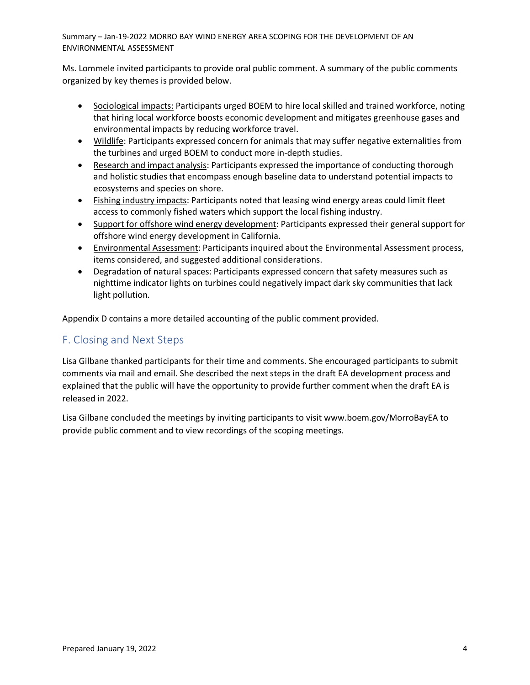Ms. Lommele invited participants to provide oral public comment. A summary of the public comments organized by key themes is provided below.

- Sociological impacts: Participants urged BOEM to hire local skilled and trained workforce, noting that hiring local workforce boosts economic development and mitigates greenhouse gases and environmental impacts by reducing workforce travel.
- Wildlife: Participants expressed concern for animals that may suffer negative externalities from the turbines and urged BOEM to conduct more in-depth studies.
- Research and impact analysis: Participants expressed the importance of conducting thorough and holistic studies that encompass enough baseline data to understand potential impacts to ecosystems and species on shore.
- Fishing industry impacts: Participants noted that leasing wind energy areas could limit fleet access to commonly fished waters which support the local fishing industry.
- Support for offshore wind energy development: Participants expressed their general support for offshore wind energy development in California.
- Environmental Assessment: Participants inquired about the Environmental Assessment process, items considered, and suggested additional considerations.
- Degradation of natural spaces: Participants expressed concern that safety measures such as nighttime indicator lights on turbines could negatively impact dark sky communities that lack light pollution.

Appendix D contains a more detailed accounting of the public comment provided.

### F. Closing and Next Steps

Lisa Gilbane thanked participants for their time and comments. She encouraged participants to submit comments via mail and email. She described the next steps in the draft EA development process and explained that the public will have the opportunity to provide further comment when the draft EA is released in 2022.

Lisa Gilbane concluded the meetings by inviting participants to visi[t www.boem.gov/MorroBayEA](http://www.boem.gov/MorroBayEA) to provide public comment and to view recordings of the scoping meetings.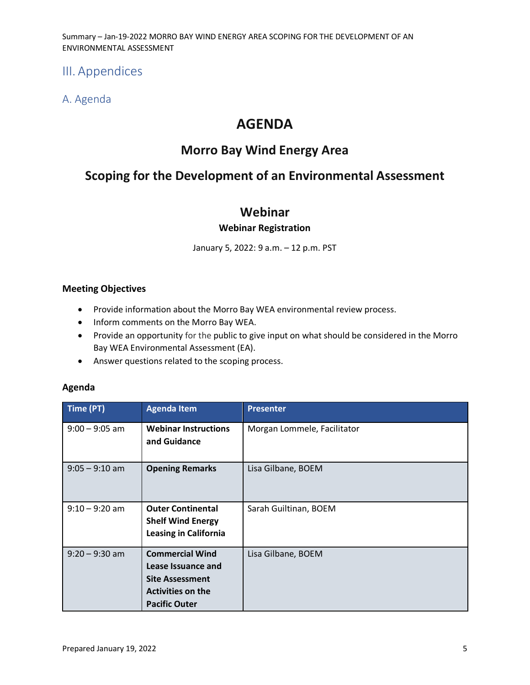# III. Appendices

## A. Agenda

# **AGENDA**

# **Morro Bay Wind Energy Area**

# **Scoping for the Development of an Environmental Assessment**

### **Webinar**

### **Webinar Registration**

January 5, 2022: 9 a.m. – 12 p.m. PST

### **Meeting Objectives**

- Provide information about the Morro Bay WEA environmental review process.
- Inform comments on the Morro Bay WEA.
- Provide an opportunity for the public to give input on what should be considered in the Morro Bay WEA Environmental Assessment (EA).
- Answer questions related to the scoping process.

#### **Agenda**

| Time (PT)        | <b>Agenda Item</b>                                                                                                         | <b>Presenter</b>            |
|------------------|----------------------------------------------------------------------------------------------------------------------------|-----------------------------|
| $9:00 - 9:05$ am | <b>Webinar Instructions</b><br>and Guidance                                                                                | Morgan Lommele, Facilitator |
| $9:05 - 9:10$ am | <b>Opening Remarks</b>                                                                                                     | Lisa Gilbane, BOEM          |
| $9:10 - 9:20$ am | <b>Outer Continental</b><br><b>Shelf Wind Energy</b><br><b>Leasing in California</b>                                       | Sarah Guiltinan, BOEM       |
| $9:20 - 9:30$ am | <b>Commercial Wind</b><br>Lease Issuance and<br><b>Site Assessment</b><br><b>Activities on the</b><br><b>Pacific Outer</b> | Lisa Gilbane, BOEM          |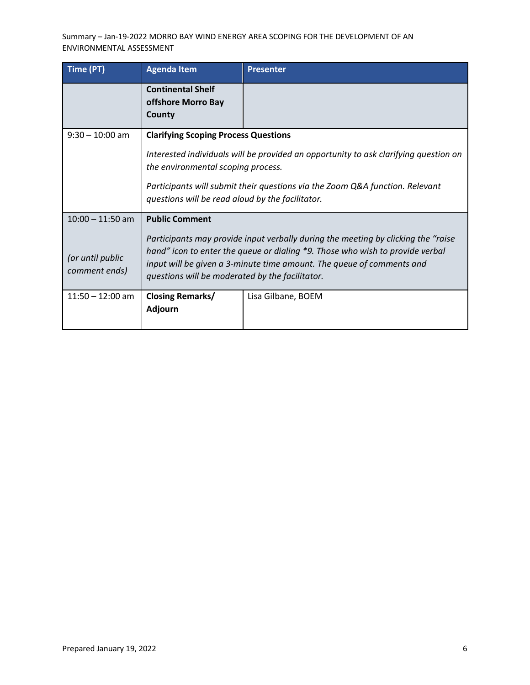| Time (PT)                                               | <b>Agenda Item</b>                                                                                                                                                                                                                                                                                                       | <b>Presenter</b>                                                                                                                                                     |
|---------------------------------------------------------|--------------------------------------------------------------------------------------------------------------------------------------------------------------------------------------------------------------------------------------------------------------------------------------------------------------------------|----------------------------------------------------------------------------------------------------------------------------------------------------------------------|
|                                                         | <b>Continental Shelf</b><br>offshore Morro Bay<br>County                                                                                                                                                                                                                                                                 |                                                                                                                                                                      |
| $9:30 - 10:00$ am                                       | <b>Clarifying Scoping Process Questions</b><br>the environmental scoping process.<br>questions will be read aloud by the facilitator.                                                                                                                                                                                    | Interested individuals will be provided an opportunity to ask clarifying question on<br>Participants will submit their questions via the Zoom Q&A function. Relevant |
| $10:00 - 11:50$ am<br>(or until public<br>comment ends) | <b>Public Comment</b><br>Participants may provide input verbally during the meeting by clicking the "raise"<br>hand" icon to enter the queue or dialing *9. Those who wish to provide verbal<br>input will be given a 3-minute time amount. The queue of comments and<br>questions will be moderated by the facilitator. |                                                                                                                                                                      |
| $11:50 - 12:00$ am                                      | <b>Closing Remarks/</b><br><b>Adjourn</b>                                                                                                                                                                                                                                                                                | Lisa Gilbane, BOEM                                                                                                                                                   |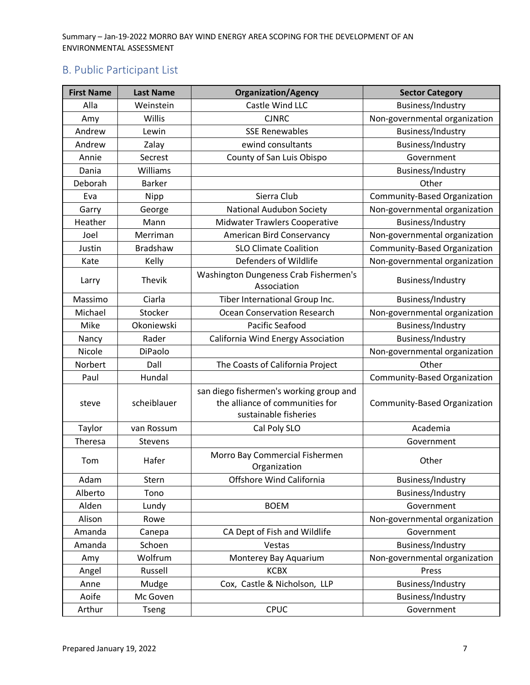## B. Public Participant List

| <b>First Name</b> | <b>Last Name</b> | <b>Organization/Agency</b>                                                                          | <b>Sector Category</b>        |
|-------------------|------------------|-----------------------------------------------------------------------------------------------------|-------------------------------|
| Alla              | Weinstein        | Castle Wind LLC                                                                                     | <b>Business/Industry</b>      |
| Amy               | Willis           | <b>CJNRC</b><br>Non-governmental organization                                                       |                               |
| Andrew            | Lewin            | <b>SSE Renewables</b>                                                                               | <b>Business/Industry</b>      |
| Andrew            | Zalay            | ewind consultants                                                                                   | Business/Industry             |
| Annie             | Secrest          | County of San Luis Obispo                                                                           | Government                    |
| Dania             | Williams         |                                                                                                     | Business/Industry             |
| Deborah           | <b>Barker</b>    |                                                                                                     | Other                         |
| Eva               | Nipp             | Sierra Club                                                                                         | Community-Based Organization  |
| Garry             | George           | <b>National Audubon Society</b>                                                                     | Non-governmental organization |
| Heather           | Mann             | <b>Midwater Trawlers Cooperative</b>                                                                | Business/Industry             |
| Joel              | Merriman         | American Bird Conservancy                                                                           | Non-governmental organization |
| Justin            | <b>Bradshaw</b>  | <b>SLO Climate Coalition</b>                                                                        | Community-Based Organization  |
| Kate              | Kelly            | Defenders of Wildlife                                                                               | Non-governmental organization |
| Larry             | Thevik           | Washington Dungeness Crab Fishermen's<br>Association                                                | Business/Industry             |
| Massimo           | Ciarla           | Tiber International Group Inc.                                                                      | Business/Industry             |
| Michael           | Stocker          | <b>Ocean Conservation Research</b>                                                                  | Non-governmental organization |
| Mike              | Okoniewski       | Pacific Seafood                                                                                     | Business/Industry             |
| Nancy             | Rader            | California Wind Energy Association                                                                  | Business/Industry             |
| Nicole            | DiPaolo          |                                                                                                     | Non-governmental organization |
| Norbert           | Dall             | The Coasts of California Project                                                                    | Other                         |
| Paul              | Hundal           |                                                                                                     | Community-Based Organization  |
| steve             | scheiblauer      | san diego fishermen's working group and<br>the alliance of communities for<br>sustainable fisheries | Community-Based Organization  |
| Taylor            | van Rossum       | Cal Poly SLO                                                                                        | Academia                      |
| Theresa           | Stevens          |                                                                                                     | Government                    |
| Tom               | Hafer            | Morro Bay Commercial Fishermen<br>Organization                                                      | Other                         |
| Adam              | Stern            | Offshore Wind California                                                                            | <b>Business/Industry</b>      |
| Alberto           | Tono             |                                                                                                     | Business/Industry             |
| Alden             | Lundy            | <b>BOEM</b>                                                                                         | Government                    |
| Alison            | Rowe             |                                                                                                     | Non-governmental organization |
| Amanda            | Canepa           | CA Dept of Fish and Wildlife                                                                        | Government                    |
| Amanda            | Schoen           | Vestas                                                                                              | Business/Industry             |
| Amy               | Wolfrum          | Monterey Bay Aquarium                                                                               | Non-governmental organization |
| Angel             | Russell          | <b>KCBX</b>                                                                                         | Press                         |
| Anne              | Mudge            | Cox, Castle & Nicholson, LLP                                                                        | Business/Industry             |
| Aoife             | Mc Goven         |                                                                                                     | Business/Industry             |
| Arthur            | Tseng            | CPUC                                                                                                | Government                    |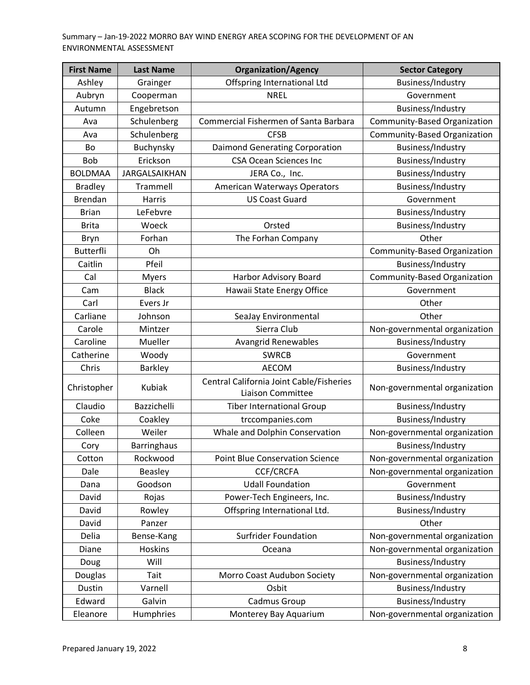| <b>First Name</b> | <b>Last Name</b>     | <b>Organization/Agency</b>                                           | <b>Sector Category</b>        |
|-------------------|----------------------|----------------------------------------------------------------------|-------------------------------|
| Ashley            | Grainger             | Offspring International Ltd                                          | Business/Industry             |
| Aubryn            | Cooperman            | <b>NREL</b>                                                          | Government                    |
| Autumn            | Engebretson          |                                                                      | Business/Industry             |
| Ava               | Schulenberg          | Commercial Fishermen of Santa Barbara                                | Community-Based Organization  |
| Ava               | Schulenberg          | <b>CFSB</b>                                                          | Community-Based Organization  |
| Bo                | Buchynsky            | Daimond Generating Corporation                                       | Business/Industry             |
| <b>Bob</b>        | Erickson             | <b>CSA Ocean Sciences Inc</b>                                        | Business/Industry             |
| <b>BOLDMAA</b>    | <b>JARGALSAIKHAN</b> | JERA Co., Inc.                                                       | Business/Industry             |
| <b>Bradley</b>    | Trammell             | <b>American Waterways Operators</b>                                  | Business/Industry             |
| <b>Brendan</b>    | Harris               | <b>US Coast Guard</b>                                                | Government                    |
| <b>Brian</b>      | LeFebvre             |                                                                      | Business/Industry             |
| <b>Brita</b>      | Woeck                | Orsted                                                               | Business/Industry             |
| Bryn              | Forhan               | The Forhan Company                                                   | Other                         |
| <b>Butterfli</b>  | Oh                   |                                                                      | Community-Based Organization  |
| Caitlin           | Pfeil                |                                                                      | Business/Industry             |
| Cal               | <b>Myers</b>         | Harbor Advisory Board                                                | Community-Based Organization  |
| Cam               | <b>Black</b>         | Hawaii State Energy Office                                           | Government                    |
| Carl              | Evers Jr             |                                                                      | Other                         |
| Carliane          | Johnson              | SeaJay Environmental                                                 | Other                         |
| Carole            | Mintzer              | Sierra Club                                                          | Non-governmental organization |
| Caroline          | Mueller              | <b>Avangrid Renewables</b>                                           | Business/Industry             |
| Catherine         | Woody                | <b>SWRCB</b>                                                         | Government                    |
| Chris             | Barkley              | <b>AECOM</b>                                                         | Business/Industry             |
| Christopher       | Kubiak               | Central California Joint Cable/Fisheries<br><b>Liaison Committee</b> | Non-governmental organization |
| Claudio           | Bazzichelli          | <b>Tiber International Group</b>                                     | Business/Industry             |
| Coke              | Coakley              | trccompanies.com                                                     | Business/Industry             |
| Colleen           | Weiler               | Whale and Dolphin Conservation                                       | Non-governmental organization |
| Cory              | Barringhaus          |                                                                      | <b>Business/Industry</b>      |
| Cotton            | Rockwood             | <b>Point Blue Conservation Science</b>                               | Non-governmental organization |
| Dale              | Beasley              | <b>CCF/CRCFA</b>                                                     | Non-governmental organization |
| Dana              | Goodson              | <b>Udall Foundation</b>                                              | Government                    |
| David             | Rojas                | Power-Tech Engineers, Inc.                                           | Business/Industry             |
| David             | Rowley               | Offspring International Ltd.                                         | Business/Industry             |
| David             | Panzer               |                                                                      | Other                         |
| Delia             | Bense-Kang           | <b>Surfrider Foundation</b>                                          | Non-governmental organization |
| Diane             | Hoskins              | Oceana                                                               | Non-governmental organization |
| Doug              | Will                 |                                                                      | Business/Industry             |
| Douglas           | Tait                 | Morro Coast Audubon Society                                          | Non-governmental organization |
| Dustin            | Varnell              | Osbit                                                                | Business/Industry             |
| Edward            | Galvin               | Cadmus Group                                                         | Business/Industry             |
| Eleanore          | Humphries            | Monterey Bay Aquarium                                                | Non-governmental organization |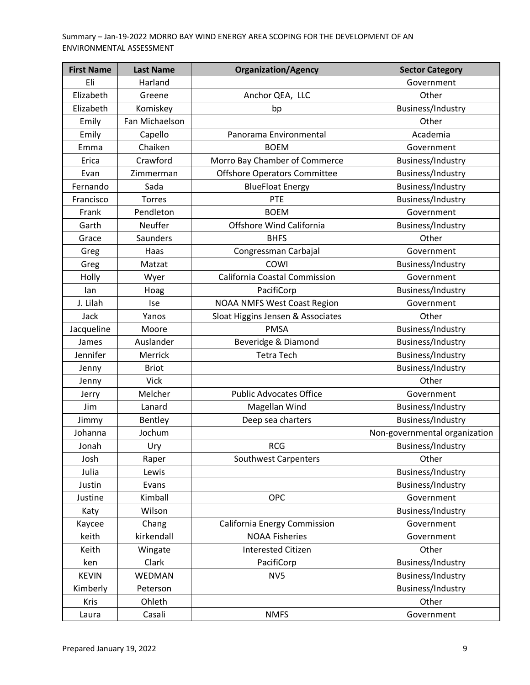| <b>First Name</b> | <b>Last Name</b> | <b>Organization/Agency</b>           | <b>Sector Category</b>        |
|-------------------|------------------|--------------------------------------|-------------------------------|
| Eli               | Harland          |                                      | Government                    |
| Elizabeth         | Greene           | Other<br>Anchor QEA, LLC             |                               |
| Elizabeth         | Komiskey         | bp                                   | Business/Industry             |
| Emily             | Fan Michaelson   |                                      | Other                         |
| Emily             | Capello          | Panorama Environmental               | Academia                      |
| Emma              | Chaiken          | <b>BOEM</b>                          | Government                    |
| Erica             | Crawford         | Morro Bay Chamber of Commerce        | Business/Industry             |
| Evan              | Zimmerman        | <b>Offshore Operators Committee</b>  | Business/Industry             |
| Fernando          | Sada             | <b>BlueFloat Energy</b>              | Business/Industry             |
| Francisco         | Torres           | PTE                                  | Business/Industry             |
| Frank             | Pendleton        | <b>BOEM</b>                          | Government                    |
| Garth             | Neuffer          | Offshore Wind California             | Business/Industry             |
| Grace             | Saunders         | <b>BHFS</b>                          | Other                         |
| Greg              | Haas             | Congressman Carbajal                 | Government                    |
| Greg              | Matzat           | COWI                                 | Business/Industry             |
| Holly             | Wyer             | <b>California Coastal Commission</b> | Government                    |
| lan               | Hoag             | PacifiCorp                           | Business/Industry             |
| J. Lilah          | <b>Ise</b>       | <b>NOAA NMFS West Coast Region</b>   | Government                    |
| Jack              | Yanos            | Sloat Higgins Jensen & Associates    | Other                         |
| Jacqueline        | Moore            | <b>PMSA</b>                          | Business/Industry             |
| James             | Auslander        | Beveridge & Diamond                  | <b>Business/Industry</b>      |
| Jennifer          | Merrick          | <b>Tetra Tech</b>                    | Business/Industry             |
| Jenny             | <b>Briot</b>     |                                      | <b>Business/Industry</b>      |
| Jenny             | <b>Vick</b>      |                                      | Other                         |
| Jerry             | Melcher          | <b>Public Advocates Office</b>       | Government                    |
| Jim               | Lanard           | Magellan Wind                        | Business/Industry             |
| Jimmy             | Bentley          | Deep sea charters                    | Business/Industry             |
| Johanna           | Jochum           |                                      | Non-governmental organization |
| Jonah             | Ury              | <b>RCG</b>                           | Business/Industry             |
| Josh              | Raper            | <b>Southwest Carpenters</b>          | Other                         |
| Julia             | Lewis            |                                      | Business/Industry             |
| Justin            | Evans            |                                      | Business/Industry             |
| Justine           | Kimball          | <b>OPC</b>                           | Government                    |
| Katy              | Wilson           |                                      | Business/Industry             |
| Kaycee            | Chang            | California Energy Commission         | Government                    |
| keith             | kirkendall       | <b>NOAA Fisheries</b>                | Government                    |
| Keith             | Wingate          | <b>Interested Citizen</b>            | Other                         |
| ken               | Clark            | PacifiCorp                           | Business/Industry             |
| <b>KEVIN</b>      | WEDMAN           | NV5                                  | Business/Industry             |
| Kimberly          | Peterson         |                                      | Business/Industry             |
| Kris              | Ohleth           |                                      | Other                         |
| Laura             | Casali           | <b>NMFS</b>                          | Government                    |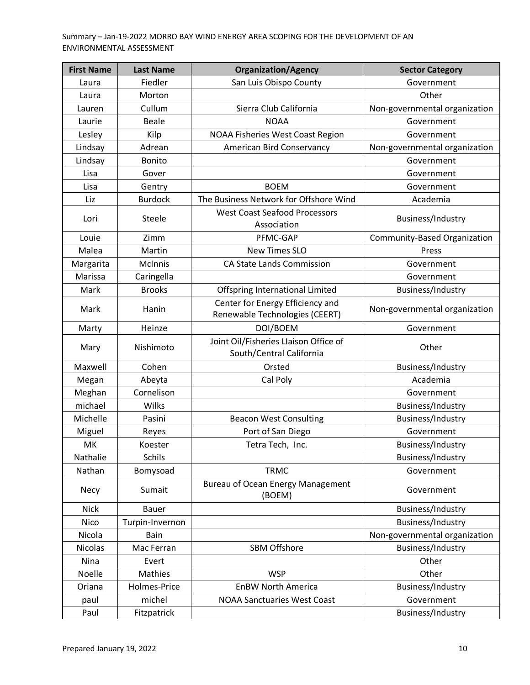| <b>First Name</b> | <b>Last Name</b> | <b>Organization/Agency</b>                                         | <b>Sector Category</b>              |  |
|-------------------|------------------|--------------------------------------------------------------------|-------------------------------------|--|
| Laura             | Fiedler          | San Luis Obispo County                                             | Government                          |  |
| Laura             | Morton           | Other                                                              |                                     |  |
| Lauren            | Cullum           | Sierra Club California                                             | Non-governmental organization       |  |
| Laurie            | <b>Beale</b>     | <b>NOAA</b>                                                        | Government                          |  |
| Lesley            | Kilp             | NOAA Fisheries West Coast Region                                   | Government                          |  |
| Lindsay           | Adrean           | American Bird Conservancy                                          | Non-governmental organization       |  |
| Lindsay           | Bonito           |                                                                    | Government                          |  |
| Lisa              | Gover            |                                                                    | Government                          |  |
| Lisa              | Gentry           | <b>BOEM</b>                                                        | Government                          |  |
| Liz               | <b>Burdock</b>   | The Business Network for Offshore Wind                             | Academia                            |  |
| Lori              | Steele           | <b>West Coast Seafood Processors</b><br>Association                | Business/Industry                   |  |
| Louie             | Zimm             | PFMC-GAP                                                           | <b>Community-Based Organization</b> |  |
| Malea             | Martin           | <b>New Times SLO</b>                                               | Press                               |  |
| Margarita         | <b>McInnis</b>   | <b>CA State Lands Commission</b>                                   | Government                          |  |
| Marissa           | Caringella       |                                                                    | Government                          |  |
| Mark              | <b>Brooks</b>    | Offspring International Limited                                    | Business/Industry                   |  |
| Mark              | Hanin            | Center for Energy Efficiency and<br>Renewable Technologies (CEERT) | Non-governmental organization       |  |
| Marty             | Heinze           | DOI/BOEM                                                           | Government                          |  |
| Mary              | Nishimoto        | Joint Oil/Fisheries Llaison Office of<br>South/Central California  | Other                               |  |
| Maxwell           | Cohen            | Orsted                                                             | Business/Industry                   |  |
| Megan             | Abeyta           | Cal Poly                                                           | Academia                            |  |
| Meghan            | Cornelison       |                                                                    | Government                          |  |
| michael           | Wilks            |                                                                    | Business/Industry                   |  |
| Michelle          | Pasini           | <b>Beacon West Consulting</b>                                      | Business/Industry                   |  |
| Miguel            | Reyes            | Port of San Diego                                                  | Government                          |  |
| MK                | Koester          | Tetra Tech, Inc.                                                   | Business/Industry                   |  |
| Nathalie          | <b>Schils</b>    |                                                                    | Business/Industry                   |  |
| Nathan            | Bomysoad         | <b>TRMC</b>                                                        | Government                          |  |
| Necy              | Sumait           | <b>Bureau of Ocean Energy Management</b><br>(BOEM)                 | Government                          |  |
| <b>Nick</b>       | <b>Bauer</b>     |                                                                    | Business/Industry                   |  |
| Nico              | Turpin-Invernon  |                                                                    | Business/Industry                   |  |
| Nicola            | Bain             |                                                                    | Non-governmental organization       |  |
| <b>Nicolas</b>    | Mac Ferran       | <b>SBM Offshore</b>                                                | Business/Industry                   |  |
| Nina              | Evert            |                                                                    | Other                               |  |
| Noelle            | Mathies          | <b>WSP</b>                                                         | Other                               |  |
| Oriana            | Holmes-Price     | <b>EnBW North America</b>                                          | <b>Business/Industry</b>            |  |
| paul              | michel           | <b>NOAA Sanctuaries West Coast</b>                                 | Government                          |  |
| Paul              | Fitzpatrick      |                                                                    | Business/Industry                   |  |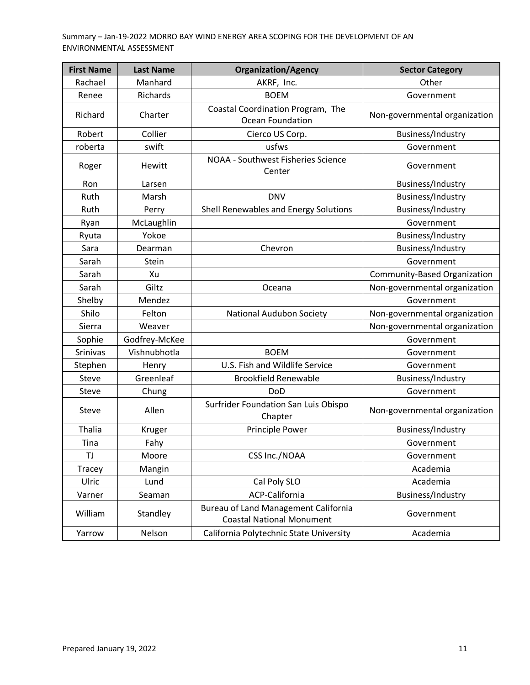| <b>First Name</b> | <b>Last Name</b> | <b>Organization/Agency</b>                                                      | <b>Sector Category</b>        |
|-------------------|------------------|---------------------------------------------------------------------------------|-------------------------------|
| Rachael           | Manhard          | AKRF, Inc.                                                                      | Other                         |
| Renee             | Richards         | <b>BOEM</b>                                                                     | Government                    |
| Richard           | Charter          | Coastal Coordination Program, The<br>Ocean Foundation                           | Non-governmental organization |
| Robert            | Collier          | Cierco US Corp.                                                                 | Business/Industry             |
| roberta           | swift            | usfws                                                                           | Government                    |
| Roger             | Hewitt           | NOAA - Southwest Fisheries Science<br>Center                                    | Government                    |
| Ron               | Larsen           |                                                                                 | Business/Industry             |
| Ruth              | Marsh            | <b>DNV</b>                                                                      | Business/Industry             |
| Ruth              | Perry            | Shell Renewables and Energy Solutions                                           | Business/Industry             |
| Ryan              | McLaughlin       |                                                                                 | Government                    |
| Ryuta             | Yokoe            |                                                                                 | Business/Industry             |
| Sara              | Dearman          | Chevron                                                                         | <b>Business/Industry</b>      |
| Sarah             | Stein            |                                                                                 | Government                    |
| Sarah             | Xu               |                                                                                 | Community-Based Organization  |
| Sarah             | Giltz            | Oceana                                                                          | Non-governmental organization |
| Shelby            | Mendez           |                                                                                 | Government                    |
| Shilo             | Felton           | <b>National Audubon Society</b>                                                 | Non-governmental organization |
| Sierra            | Weaver           |                                                                                 | Non-governmental organization |
| Sophie            | Godfrey-McKee    |                                                                                 | Government                    |
| <b>Srinivas</b>   | Vishnubhotla     | <b>BOEM</b>                                                                     | Government                    |
| Stephen           | Henry            | U.S. Fish and Wildlife Service                                                  | Government                    |
| Steve             | Greenleaf        | <b>Brookfield Renewable</b>                                                     | Business/Industry             |
| Steve             | Chung            | <b>DoD</b>                                                                      | Government                    |
| <b>Steve</b>      | Allen            | Surfrider Foundation San Luis Obispo<br>Chapter                                 | Non-governmental organization |
| Thalia            | Kruger           | Principle Power                                                                 | Business/Industry             |
| Tina              | Fahy             |                                                                                 | Government                    |
| TJ                | Moore            | CSS Inc./NOAA                                                                   | Government                    |
| Tracey            | Mangin           |                                                                                 | Academia                      |
| Ulric             | Lund             | Cal Poly SLO                                                                    | Academia                      |
| Varner            | Seaman           | ACP-California                                                                  | Business/Industry             |
| William           | Standley         | <b>Bureau of Land Management California</b><br><b>Coastal National Monument</b> | Government                    |
| Yarrow            | Nelson           | California Polytechnic State University                                         | Academia                      |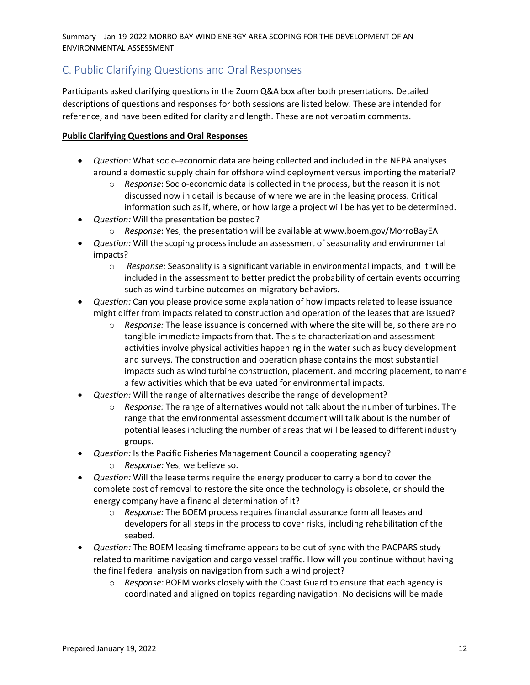### C. Public Clarifying Questions and Oral Responses

Participants asked clarifying questions in the Zoom Q&A box after both presentations. Detailed descriptions of questions and responses for both sessions are listed below. These are intended for reference, and have been edited for clarity and length. These are not verbatim comments.

#### **Public Clarifying Questions and Oral Responses**

- *Question:* What socio-economic data are being collected and included in the NEPA analyses around a domestic supply chain for offshore wind deployment versus importing the material?
	- o *Response*: Socio-economic data is collected in the process, but the reason it is not discussed now in detail is because of where we are in the leasing process. Critical information such as if, where, or how large a project will be has yet to be determined.
- *Question:* Will the presentation be posted?
	- o *Response*: Yes, the presentation will be available at [www.boem.gov/MorroBayEA](http://www.boem.gov/MorroBayEA)
- *Question:* Will the scoping process include an assessment of seasonality and environmental impacts?
	- o *Response:* Seasonality is a significant variable in environmental impacts, and it will be included in the assessment to better predict the probability of certain events occurring such as wind turbine outcomes on migratory behaviors.
- *Question:* Can you please provide some explanation of how impacts related to lease issuance might differ from impacts related to construction and operation of the leases that are issued?
	- o *Response:* The lease issuance is concerned with where the site will be, so there are no tangible immediate impacts from that. The site characterization and assessment activities involve physical activities happening in the water such as buoy development and surveys. The construction and operation phase contains the most substantial impacts such as wind turbine construction, placement, and mooring placement, to name a few activities which that be evaluated for environmental impacts.
- *Question:* Will the range of alternatives describe the range of development?
	- o *Response:* The range of alternatives would not talk about the number of turbines. The range that the environmental assessment document will talk about is the number of potential leases including the number of areas that will be leased to different industry groups.
- *Question:* Is the Pacific Fisheries Management Council a cooperating agency?
	- o *Response:* Yes, we believe so.
- *Question:* Will the lease terms require the energy producer to carry a bond to cover the complete cost of removal to restore the site once the technology is obsolete, or should the energy company have a financial determination of it?
	- o *Response:* The BOEM process requires financial assurance form all leases and developers for all steps in the process to cover risks, including rehabilitation of the seabed.
- *Question:* The BOEM leasing timeframe appears to be out of sync with the PACPARS study related to maritime navigation and cargo vessel traffic. How will you continue without having the final federal analysis on navigation from such a wind project?
	- o *Response:* BOEM works closely with the Coast Guard to ensure that each agency is coordinated and aligned on topics regarding navigation. No decisions will be made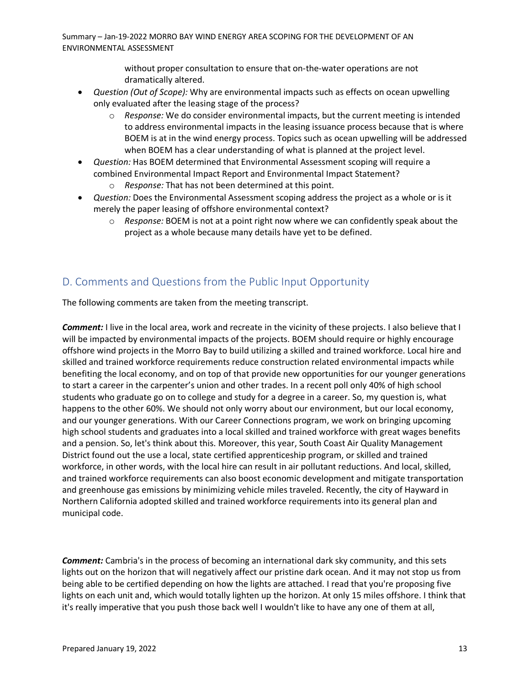> without proper consultation to ensure that on-the-water operations are not dramatically altered.

- *Question (Out of Scope):* Why are environmental impacts such as effects on ocean upwelling only evaluated after the leasing stage of the process?
	- o *Response:* We do consider environmental impacts, but the current meeting is intended to address environmental impacts in the leasing issuance process because that is where BOEM is at in the wind energy process. Topics such as ocean upwelling will be addressed when BOEM has a clear understanding of what is planned at the project level.
- *Question:* Has BOEM determined that Environmental Assessment scoping will require a combined Environmental Impact Report and Environmental Impact Statement?
	- o *Response:* That has not been determined at this point.
- *Question:* Does the Environmental Assessment scoping address the project as a whole or is it merely the paper leasing of offshore environmental context?
	- o *Response:* BOEM is not at a point right now where we can confidently speak about the project as a whole because many details have yet to be defined.

# D. Comments and Questions from the Public Input Opportunity

The following comments are taken from the meeting transcript.

*Comment:* I live in the local area, work and recreate in the vicinity of these projects. I also believe that I will be impacted by environmental impacts of the projects. BOEM should require or highly encourage offshore wind projects in the Morro Bay to build utilizing a skilled and trained workforce. Local hire and skilled and trained workforce requirements reduce construction related environmental impacts while benefiting the local economy, and on top of that provide new opportunities for our younger generations to start a career in the carpenter's union and other trades. In a recent poll only 40% of high school students who graduate go on to college and study for a degree in a career. So, my question is, what happens to the other 60%. We should not only worry about our environment, but our local economy, and our younger generations. With our Career Connections program, we work on bringing upcoming high school students and graduates into a local skilled and trained workforce with great wages benefits and a pension. So, let's think about this. Moreover, this year, South Coast Air Quality Management District found out the use a local, state certified apprenticeship program, or skilled and trained workforce, in other words, with the local hire can result in air pollutant reductions. And local, skilled, and trained workforce requirements can also boost economic development and mitigate transportation and greenhouse gas emissions by minimizing vehicle miles traveled. Recently, the city of Hayward in Northern California adopted skilled and trained workforce requirements into its general plan and municipal code.

*Comment:* Cambria's in the process of becoming an international dark sky community, and this sets lights out on the horizon that will negatively affect our pristine dark ocean. And it may not stop us from being able to be certified depending on how the lights are attached. I read that you're proposing five lights on each unit and, which would totally lighten up the horizon. At only 15 miles offshore. I think that it's really imperative that you push those back well I wouldn't like to have any one of them at all,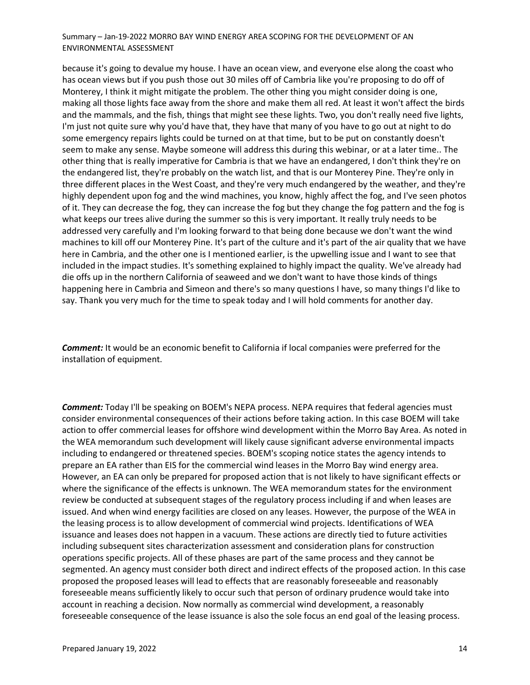because it's going to devalue my house. I have an ocean view, and everyone else along the coast who has ocean views but if you push those out 30 miles off of Cambria like you're proposing to do off of Monterey, I think it might mitigate the problem. The other thing you might consider doing is one, making all those lights face away from the shore and make them all red. At least it won't affect the birds and the mammals, and the fish, things that might see these lights. Two, you don't really need five lights, I'm just not quite sure why you'd have that, they have that many of you have to go out at night to do some emergency repairs lights could be turned on at that time, but to be put on constantly doesn't seem to make any sense. Maybe someone will address this during this webinar, or at a later time.. The other thing that is really imperative for Cambria is that we have an endangered, I don't think they're on the endangered list, they're probably on the watch list, and that is our Monterey Pine. They're only in three different places in the West Coast, and they're very much endangered by the weather, and they're highly dependent upon fog and the wind machines, you know, highly affect the fog, and I've seen photos of it. They can decrease the fog, they can increase the fog but they change the fog pattern and the fog is what keeps our trees alive during the summer so this is very important. It really truly needs to be addressed very carefully and I'm looking forward to that being done because we don't want the wind machines to kill off our Monterey Pine. It's part of the culture and it's part of the air quality that we have here in Cambria, and the other one is I mentioned earlier, is the upwelling issue and I want to see that included in the impact studies. It's something explained to highly impact the quality. We've already had die offs up in the northern California of seaweed and we don't want to have those kinds of things happening here in Cambria and Simeon and there's so many questions I have, so many things I'd like to say. Thank you very much for the time to speak today and I will hold comments for another day.

*Comment:* It would be an economic benefit to California if local companies were preferred for the installation of equipment.

*Comment:* Today I'll be speaking on BOEM's NEPA process. NEPA requires that federal agencies must consider environmental consequences of their actions before taking action. In this case BOEM will take action to offer commercial leases for offshore wind development within the Morro Bay Area. As noted in the WEA memorandum such development will likely cause significant adverse environmental impacts including to endangered or threatened species. BOEM's scoping notice states the agency intends to prepare an EA rather than EIS for the commercial wind leases in the Morro Bay wind energy area. However, an EA can only be prepared for proposed action that is not likely to have significant effects or where the significance of the effects is unknown. The WEA memorandum states for the environment review be conducted at subsequent stages of the regulatory process including if and when leases are issued. And when wind energy facilities are closed on any leases. However, the purpose of the WEA in the leasing process is to allow development of commercial wind projects. Identifications of WEA issuance and leases does not happen in a vacuum. These actions are directly tied to future activities including subsequent sites characterization assessment and consideration plans for construction operations specific projects. All of these phases are part of the same process and they cannot be segmented. An agency must consider both direct and indirect effects of the proposed action. In this case proposed the proposed leases will lead to effects that are reasonably foreseeable and reasonably foreseeable means sufficiently likely to occur such that person of ordinary prudence would take into account in reaching a decision. Now normally as commercial wind development, a reasonably foreseeable consequence of the lease issuance is also the sole focus an end goal of the leasing process.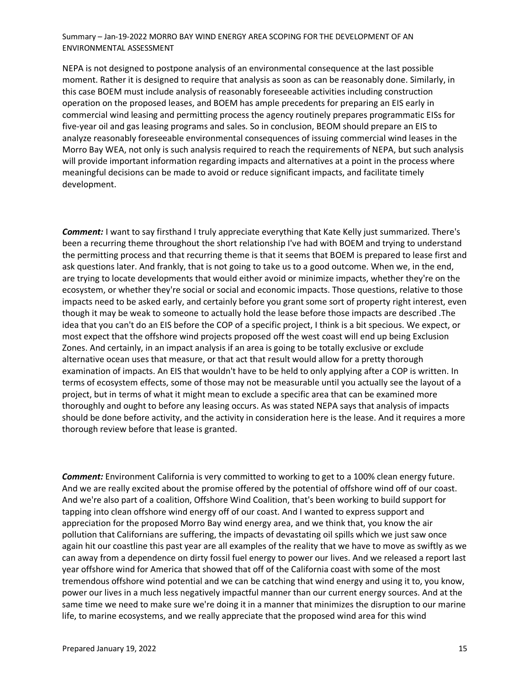NEPA is not designed to postpone analysis of an environmental consequence at the last possible moment. Rather it is designed to require that analysis as soon as can be reasonably done. Similarly, in this case BOEM must include analysis of reasonably foreseeable activities including construction operation on the proposed leases, and BOEM has ample precedents for preparing an EIS early in commercial wind leasing and permitting process the agency routinely prepares programmatic EISs for five-year oil and gas leasing programs and sales. So in conclusion, BEOM should prepare an EIS to analyze reasonably foreseeable environmental consequences of issuing commercial wind leases in the Morro Bay WEA, not only is such analysis required to reach the requirements of NEPA, but such analysis will provide important information regarding impacts and alternatives at a point in the process where meaningful decisions can be made to avoid or reduce significant impacts, and facilitate timely development.

*Comment:* I want to say firsthand I truly appreciate everything that Kate Kelly just summarized. There's been a recurring theme throughout the short relationship I've had with BOEM and trying to understand the permitting process and that recurring theme is that it seems that BOEM is prepared to lease first and ask questions later. And frankly, that is not going to take us to a good outcome. When we, in the end, are trying to locate developments that would either avoid or minimize impacts, whether they're on the ecosystem, or whether they're social or social and economic impacts. Those questions, relative to those impacts need to be asked early, and certainly before you grant some sort of property right interest, even though it may be weak to someone to actually hold the lease before those impacts are described .The idea that you can't do an EIS before the COP of a specific project, I think is a bit specious. We expect, or most expect that the offshore wind projects proposed off the west coast will end up being Exclusion Zones. And certainly, in an impact analysis if an area is going to be totally exclusive or exclude alternative ocean uses that measure, or that act that result would allow for a pretty thorough examination of impacts. An EIS that wouldn't have to be held to only applying after a COP is written. In terms of ecosystem effects, some of those may not be measurable until you actually see the layout of a project, but in terms of what it might mean to exclude a specific area that can be examined more thoroughly and ought to before any leasing occurs. As was stated NEPA says that analysis of impacts should be done before activity, and the activity in consideration here is the lease. And it requires a more thorough review before that lease is granted.

*Comment:* Environment California is very committed to working to get to a 100% clean energy future. And we are really excited about the promise offered by the potential of offshore wind off of our coast. And we're also part of a coalition, Offshore Wind Coalition, that's been working to build support for tapping into clean offshore wind energy off of our coast. And I wanted to express support and appreciation for the proposed Morro Bay wind energy area, and we think that, you know the air pollution that Californians are suffering, the impacts of devastating oil spills which we just saw once again hit our coastline this past year are all examples of the reality that we have to move as swiftly as we can away from a dependence on dirty fossil fuel energy to power our lives. And we released a report last year offshore wind for America that showed that off of the California coast with some of the most tremendous offshore wind potential and we can be catching that wind energy and using it to, you know, power our lives in a much less negatively impactful manner than our current energy sources. And at the same time we need to make sure we're doing it in a manner that minimizes the disruption to our marine life, to marine ecosystems, and we really appreciate that the proposed wind area for this wind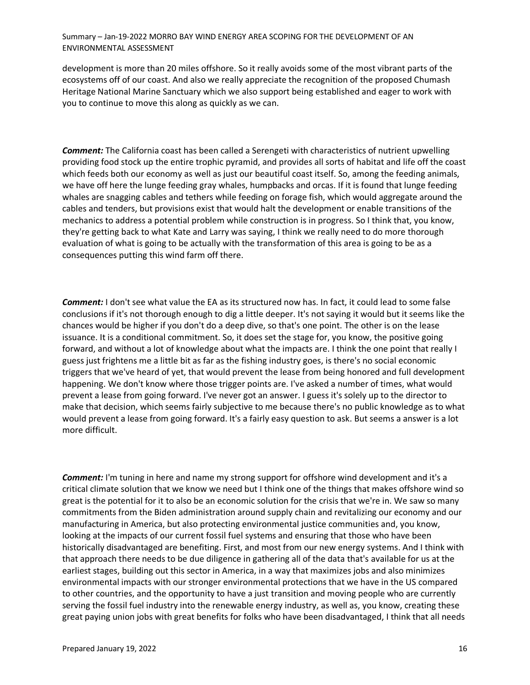development is more than 20 miles offshore. So it really avoids some of the most vibrant parts of the ecosystems off of our coast. And also we really appreciate the recognition of the proposed Chumash Heritage National Marine Sanctuary which we also support being established and eager to work with you to continue to move this along as quickly as we can.

*Comment:* The California coast has been called a Serengeti with characteristics of nutrient upwelling providing food stock up the entire trophic pyramid, and provides all sorts of habitat and life off the coast which feeds both our economy as well as just our beautiful coast itself. So, among the feeding animals, we have off here the lunge feeding gray whales, humpbacks and orcas. If it is found that lunge feeding whales are snagging cables and tethers while feeding on forage fish, which would aggregate around the cables and tenders, but provisions exist that would halt the development or enable transitions of the mechanics to address a potential problem while construction is in progress. So I think that, you know, they're getting back to what Kate and Larry was saying, I think we really need to do more thorough evaluation of what is going to be actually with the transformation of this area is going to be as a consequences putting this wind farm off there.

*Comment:* I don't see what value the EA as its structured now has. In fact, it could lead to some false conclusions if it's not thorough enough to dig a little deeper. It's not saying it would but it seems like the chances would be higher if you don't do a deep dive, so that's one point. The other is on the lease issuance. It is a conditional commitment. So, it does set the stage for, you know, the positive going forward, and without a lot of knowledge about what the impacts are. I think the one point that really I guess just frightens me a little bit as far as the fishing industry goes, is there's no social economic triggers that we've heard of yet, that would prevent the lease from being honored and full development happening. We don't know where those trigger points are. I've asked a number of times, what would prevent a lease from going forward. I've never got an answer. I guess it's solely up to the director to make that decision, which seems fairly subjective to me because there's no public knowledge as to what would prevent a lease from going forward. It's a fairly easy question to ask. But seems a answer is a lot more difficult.

*Comment:* I'm tuning in here and name my strong support for offshore wind development and it's a critical climate solution that we know we need but I think one of the things that makes offshore wind so great is the potential for it to also be an economic solution for the crisis that we're in. We saw so many commitments from the Biden administration around supply chain and revitalizing our economy and our manufacturing in America, but also protecting environmental justice communities and, you know, looking at the impacts of our current fossil fuel systems and ensuring that those who have been historically disadvantaged are benefiting. First, and most from our new energy systems. And I think with that approach there needs to be due diligence in gathering all of the data that's available for us at the earliest stages, building out this sector in America, in a way that maximizes jobs and also minimizes environmental impacts with our stronger environmental protections that we have in the US compared to other countries, and the opportunity to have a just transition and moving people who are currently serving the fossil fuel industry into the renewable energy industry, as well as, you know, creating these great paying union jobs with great benefits for folks who have been disadvantaged, I think that all needs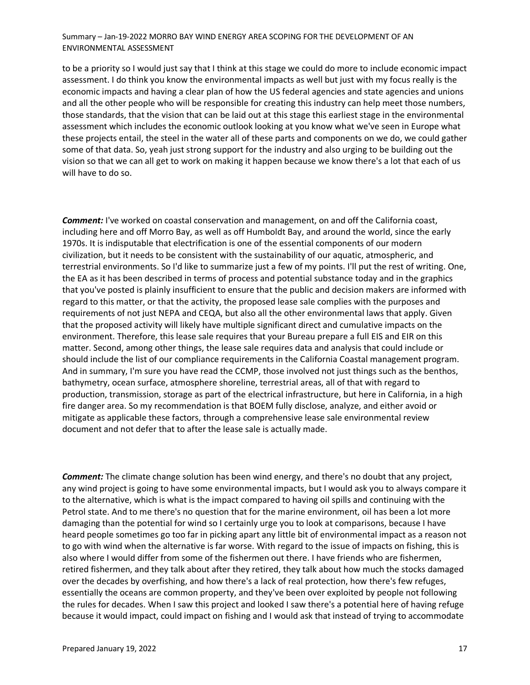to be a priority so I would just say that I think at this stage we could do more to include economic impact assessment. I do think you know the environmental impacts as well but just with my focus really is the economic impacts and having a clear plan of how the US federal agencies and state agencies and unions and all the other people who will be responsible for creating this industry can help meet those numbers, those standards, that the vision that can be laid out at this stage this earliest stage in the environmental assessment which includes the economic outlook looking at you know what we've seen in Europe what these projects entail, the steel in the water all of these parts and components on we do, we could gather some of that data. So, yeah just strong support for the industry and also urging to be building out the vision so that we can all get to work on making it happen because we know there's a lot that each of us will have to do so.

*Comment:* I've worked on coastal conservation and management, on and off the California coast, including here and off Morro Bay, as well as off Humboldt Bay, and around the world, since the early 1970s. It is indisputable that electrification is one of the essential components of our modern civilization, but it needs to be consistent with the sustainability of our aquatic, atmospheric, and terrestrial environments. So I'd like to summarize just a few of my points. I'll put the rest of writing. One, the EA as it has been described in terms of process and potential substance today and in the graphics that you've posted is plainly insufficient to ensure that the public and decision makers are informed with regard to this matter, or that the activity, the proposed lease sale complies with the purposes and requirements of not just NEPA and CEQA, but also all the other environmental laws that apply. Given that the proposed activity will likely have multiple significant direct and cumulative impacts on the environment. Therefore, this lease sale requires that your Bureau prepare a full EIS and EIR on this matter. Second, among other things, the lease sale requires data and analysis that could include or should include the list of our compliance requirements in the California Coastal management program. And in summary, I'm sure you have read the CCMP, those involved not just things such as the benthos, bathymetry, ocean surface, atmosphere shoreline, terrestrial areas, all of that with regard to production, transmission, storage as part of the electrical infrastructure, but here in California, in a high fire danger area. So my recommendation is that BOEM fully disclose, analyze, and either avoid or mitigate as applicable these factors, through a comprehensive lease sale environmental review document and not defer that to after the lease sale is actually made.

*Comment:* The climate change solution has been wind energy, and there's no doubt that any project, any wind project is going to have some environmental impacts, but I would ask you to always compare it to the alternative, which is what is the impact compared to having oil spills and continuing with the Petrol state. And to me there's no question that for the marine environment, oil has been a lot more damaging than the potential for wind so I certainly urge you to look at comparisons, because I have heard people sometimes go too far in picking apart any little bit of environmental impact as a reason not to go with wind when the alternative is far worse. With regard to the issue of impacts on fishing, this is also where I would differ from some of the fishermen out there. I have friends who are fishermen, retired fishermen, and they talk about after they retired, they talk about how much the stocks damaged over the decades by overfishing, and how there's a lack of real protection, how there's few refuges, essentially the oceans are common property, and they've been over exploited by people not following the rules for decades. When I saw this project and looked I saw there's a potential here of having refuge because it would impact, could impact on fishing and I would ask that instead of trying to accommodate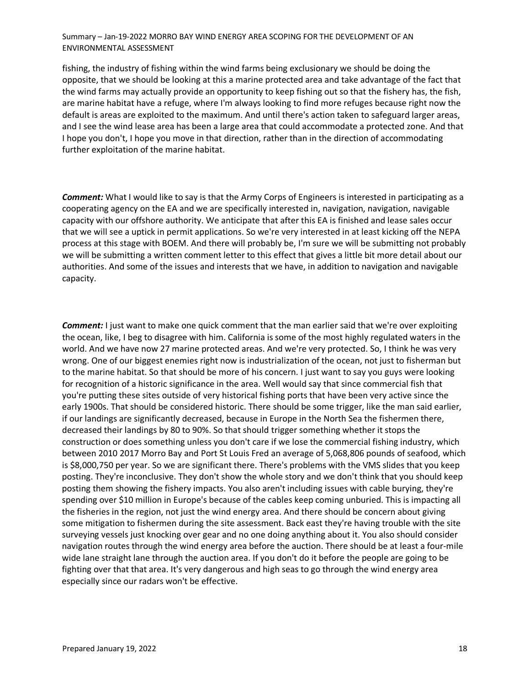fishing, the industry of fishing within the wind farms being exclusionary we should be doing the opposite, that we should be looking at this a marine protected area and take advantage of the fact that the wind farms may actually provide an opportunity to keep fishing out so that the fishery has, the fish, are marine habitat have a refuge, where I'm always looking to find more refuges because right now the default is areas are exploited to the maximum. And until there's action taken to safeguard larger areas, and I see the wind lease area has been a large area that could accommodate a protected zone. And that I hope you don't, I hope you move in that direction, rather than in the direction of accommodating further exploitation of the marine habitat.

*Comment:* What I would like to say is that the Army Corps of Engineers is interested in participating as a cooperating agency on the EA and we are specifically interested in, navigation, navigation, navigable capacity with our offshore authority. We anticipate that after this EA is finished and lease sales occur that we will see a uptick in permit applications. So we're very interested in at least kicking off the NEPA process at this stage with BOEM. And there will probably be, I'm sure we will be submitting not probably we will be submitting a written comment letter to this effect that gives a little bit more detail about our authorities. And some of the issues and interests that we have, in addition to navigation and navigable capacity.

*Comment:* I just want to make one quick comment that the man earlier said that we're over exploiting the ocean, like, I beg to disagree with him. California is some of the most highly regulated waters in the world. And we have now 27 marine protected areas. And we're very protected. So, I think he was very wrong. One of our biggest enemies right now is industrialization of the ocean, not just to fisherman but to the marine habitat. So that should be more of his concern. I just want to say you guys were looking for recognition of a historic significance in the area. Well would say that since commercial fish that you're putting these sites outside of very historical fishing ports that have been very active since the early 1900s. That should be considered historic. There should be some trigger, like the man said earlier, if our landings are significantly decreased, because in Europe in the North Sea the fishermen there, decreased their landings by 80 to 90%. So that should trigger something whether it stops the construction or does something unless you don't care if we lose the commercial fishing industry, which between 2010 2017 Morro Bay and Port St Louis Fred an average of 5,068,806 pounds of seafood, which is \$8,000,750 per year. So we are significant there. There's problems with the VMS slides that you keep posting. They're inconclusive. They don't show the whole story and we don't think that you should keep posting them showing the fishery impacts. You also aren't including issues with cable burying, they're spending over \$10 million in Europe's because of the cables keep coming unburied. This is impacting all the fisheries in the region, not just the wind energy area. And there should be concern about giving some mitigation to fishermen during the site assessment. Back east they're having trouble with the site surveying vessels just knocking over gear and no one doing anything about it. You also should consider navigation routes through the wind energy area before the auction. There should be at least a four-mile wide lane straight lane through the auction area. If you don't do it before the people are going to be fighting over that that area. It's very dangerous and high seas to go through the wind energy area especially since our radars won't be effective.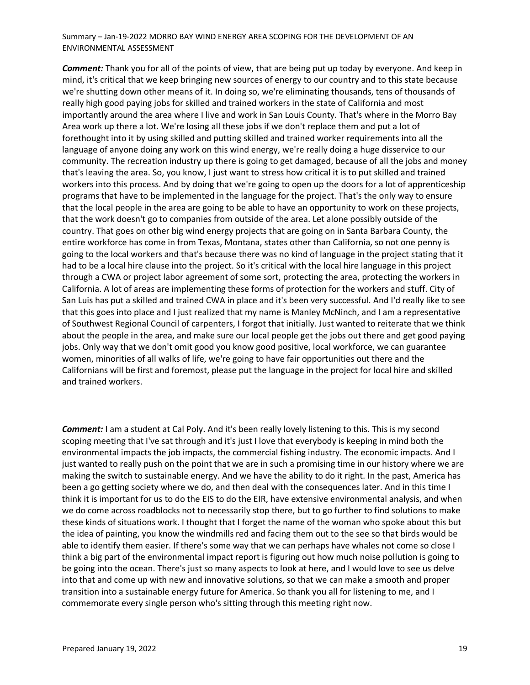*Comment:* Thank you for all of the points of view, that are being put up today by everyone. And keep in mind, it's critical that we keep bringing new sources of energy to our country and to this state because we're shutting down other means of it. In doing so, we're eliminating thousands, tens of thousands of really high good paying jobs for skilled and trained workers in the state of California and most importantly around the area where I live and work in San Louis County. That's where in the Morro Bay Area work up there a lot. We're losing all these jobs if we don't replace them and put a lot of forethought into it by using skilled and putting skilled and trained worker requirements into all the language of anyone doing any work on this wind energy, we're really doing a huge disservice to our community. The recreation industry up there is going to get damaged, because of all the jobs and money that's leaving the area. So, you know, I just want to stress how critical it is to put skilled and trained workers into this process. And by doing that we're going to open up the doors for a lot of apprenticeship programs that have to be implemented in the language for the project. That's the only way to ensure that the local people in the area are going to be able to have an opportunity to work on these projects, that the work doesn't go to companies from outside of the area. Let alone possibly outside of the country. That goes on other big wind energy projects that are going on in Santa Barbara County, the entire workforce has come in from Texas, Montana, states other than California, so not one penny is going to the local workers and that's because there was no kind of language in the project stating that it had to be a local hire clause into the project. So it's critical with the local hire language in this project through a CWA or project labor agreement of some sort, protecting the area, protecting the workers in California. A lot of areas are implementing these forms of protection for the workers and stuff. City of San Luis has put a skilled and trained CWA in place and it's been very successful. And I'd really like to see that this goes into place and I just realized that my name is Manley McNinch, and I am a representative of Southwest Regional Council of carpenters, I forgot that initially. Just wanted to reiterate that we think about the people in the area, and make sure our local people get the jobs out there and get good paying jobs. Only way that we don't omit good you know good positive, local workforce, we can guarantee women, minorities of all walks of life, we're going to have fair opportunities out there and the Californians will be first and foremost, please put the language in the project for local hire and skilled and trained workers.

*Comment:* I am a student at Cal Poly. And it's been really lovely listening to this. This is my second scoping meeting that I've sat through and it's just I love that everybody is keeping in mind both the environmental impacts the job impacts, the commercial fishing industry. The economic impacts. And I just wanted to really push on the point that we are in such a promising time in our history where we are making the switch to sustainable energy. And we have the ability to do it right. In the past, America has been a go getting society where we do, and then deal with the consequences later. And in this time I think it is important for us to do the EIS to do the EIR, have extensive environmental analysis, and when we do come across roadblocks not to necessarily stop there, but to go further to find solutions to make these kinds of situations work. I thought that I forget the name of the woman who spoke about this but the idea of painting, you know the windmills red and facing them out to the see so that birds would be able to identify them easier. If there's some way that we can perhaps have whales not come so close I think a big part of the environmental impact report is figuring out how much noise pollution is going to be going into the ocean. There's just so many aspects to look at here, and I would love to see us delve into that and come up with new and innovative solutions, so that we can make a smooth and proper transition into a sustainable energy future for America. So thank you all for listening to me, and I commemorate every single person who's sitting through this meeting right now.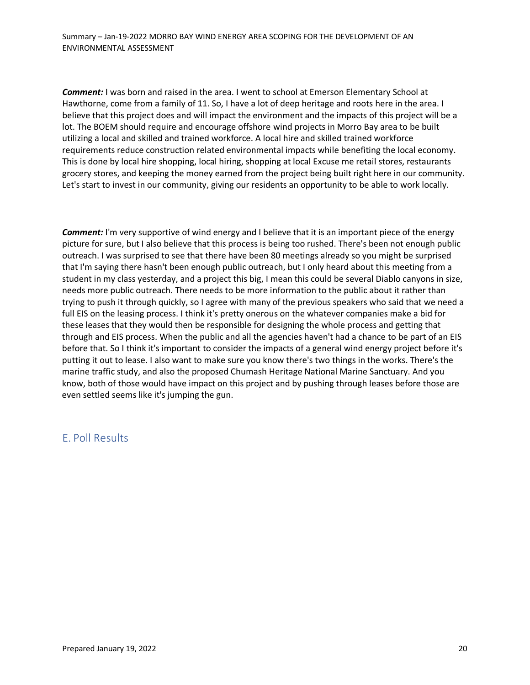*Comment:* I was born and raised in the area. I went to school at Emerson Elementary School at Hawthorne, come from a family of 11. So, I have a lot of deep heritage and roots here in the area. I believe that this project does and will impact the environment and the impacts of this project will be a lot. The BOEM should require and encourage offshore wind projects in Morro Bay area to be built utilizing a local and skilled and trained workforce. A local hire and skilled trained workforce requirements reduce construction related environmental impacts while benefiting the local economy. This is done by local hire shopping, local hiring, shopping at local Excuse me retail stores, restaurants grocery stores, and keeping the money earned from the project being built right here in our community. Let's start to invest in our community, giving our residents an opportunity to be able to work locally.

*Comment:* I'm very supportive of wind energy and I believe that it is an important piece of the energy picture for sure, but I also believe that this process is being too rushed. There's been not enough public outreach. I was surprised to see that there have been 80 meetings already so you might be surprised that I'm saying there hasn't been enough public outreach, but I only heard about this meeting from a student in my class yesterday, and a project this big, I mean this could be several Diablo canyons in size, needs more public outreach. There needs to be more information to the public about it rather than trying to push it through quickly, so I agree with many of the previous speakers who said that we need a full EIS on the leasing process. I think it's pretty onerous on the whatever companies make a bid for these leases that they would then be responsible for designing the whole process and getting that through and EIS process. When the public and all the agencies haven't had a chance to be part of an EIS before that. So I think it's important to consider the impacts of a general wind energy project before it's putting it out to lease. I also want to make sure you know there's two things in the works. There's the marine traffic study, and also the proposed Chumash Heritage National Marine Sanctuary. And you know, both of those would have impact on this project and by pushing through leases before those are even settled seems like it's jumping the gun.

### E. Poll Results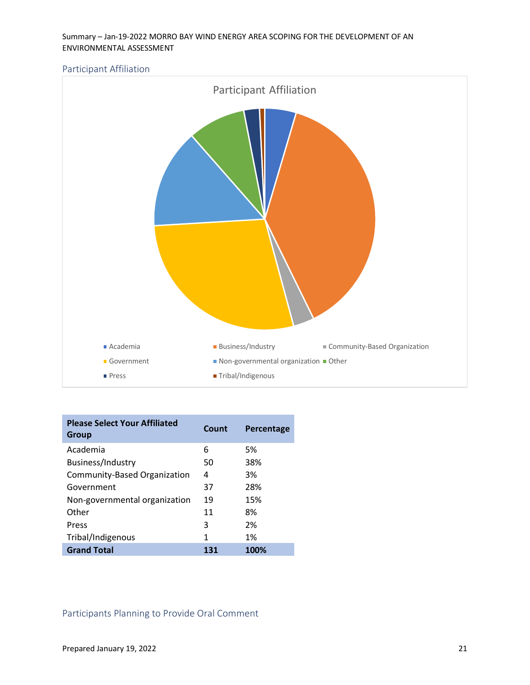#### Participant Affiliation



| <b>Please Select Your Affiliated</b><br><b>Group</b> | Count | Percentage |
|------------------------------------------------------|-------|------------|
| Academia                                             | 6     | .5%        |
| Business/Industry                                    | 50    | 38%        |
| Community-Based Organization                         | 4     | 3%         |
| Government                                           | 37    | 28%        |
| Non-governmental organization                        | 19    | 15%        |
| Other                                                | 11    | 8%         |
| Press                                                | 3     | 2%         |
| Tribal/Indigenous                                    | 1     | 1%         |
| <b>Grand Total</b>                                   | 131   | 100%       |

Participants Planning to Provide Oral Comment